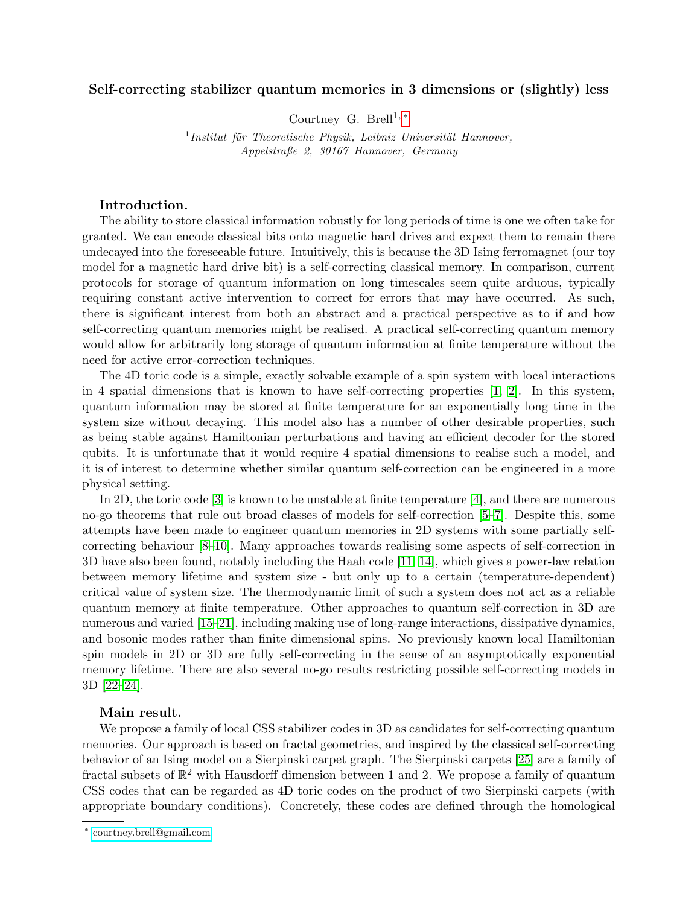## Self-correcting stabilizer quantum memories in 3 dimensions or (slightly) less

Courtney G. Brell<sup>1,\*</sup>

<sup>1</sup>Institut für Theoretische Physik, Leibniz Universität Hannover, Appelstraße 2, 30167 Hannover, Germany

## Introduction.

The ability to store classical information robustly for long periods of time is one we often take for granted. We can encode classical bits onto magnetic hard drives and expect them to remain there undecayed into the foreseeable future. Intuitively, this is because the 3D Ising ferromagnet (our toy model for a magnetic hard drive bit) is a self-correcting classical memory. In comparison, current protocols for storage of quantum information on long timescales seem quite arduous, typically requiring constant active intervention to correct for errors that may have occurred. As such, there is significant interest from both an abstract and a practical perspective as to if and how self-correcting quantum memories might be realised. A practical self-correcting quantum memory would allow for arbitrarily long storage of quantum information at finite temperature without the need for active error-correction techniques.

The 4D toric code is a simple, exactly solvable example of a spin system with local interactions in 4 spatial dimensions that is known to have self-correcting properties [\[1,](#page-2-0) [2\]](#page-2-1). In this system, quantum information may be stored at finite temperature for an exponentially long time in the system size without decaying. This model also has a number of other desirable properties, such as being stable against Hamiltonian perturbations and having an efficient decoder for the stored qubits. It is unfortunate that it would require 4 spatial dimensions to realise such a model, and it is of interest to determine whether similar quantum self-correction can be engineered in a more physical setting.

In 2D, the toric code [\[3\]](#page-2-2) is known to be unstable at finite temperature [\[4\]](#page-2-3), and there are numerous no-go theorems that rule out broad classes of models for self-correction [\[5–](#page-2-4)[7\]](#page-3-0). Despite this, some attempts have been made to engineer quantum memories in 2D systems with some partially selfcorrecting behaviour [\[8–](#page-3-1)[10\]](#page-3-2). Many approaches towards realising some aspects of self-correction in 3D have also been found, notably including the Haah code [\[11–](#page-3-3)[14\]](#page-3-4), which gives a power-law relation between memory lifetime and system size - but only up to a certain (temperature-dependent) critical value of system size. The thermodynamic limit of such a system does not act as a reliable quantum memory at finite temperature. Other approaches to quantum self-correction in 3D are numerous and varied [\[15–](#page-3-5)[21\]](#page-3-6), including making use of long-range interactions, dissipative dynamics, and bosonic modes rather than finite dimensional spins. No previously known local Hamiltonian spin models in 2D or 3D are fully self-correcting in the sense of an asymptotically exponential memory lifetime. There are also several no-go results restricting possible self-correcting models in 3D [\[22](#page-3-7)[–24\]](#page-3-8).

## Main result.

We propose a family of local CSS stabilizer codes in 3D as candidates for self-correcting quantum memories. Our approach is based on fractal geometries, and inspired by the classical self-correcting behavior of an Ising model on a Sierpinski carpet graph. The Sierpinski carpets [\[25\]](#page-3-9) are a family of fractal subsets of  $\mathbb{R}^2$  with Hausdorff dimension between 1 and 2. We propose a family of quantum CSS codes that can be regarded as 4D toric codes on the product of two Sierpinski carpets (with appropriate boundary conditions). Concretely, these codes are defined through the homological

<span id="page-0-0"></span><sup>∗</sup> [courtney.brell@gmail.com](mailto:courtney.brell@gmail.com)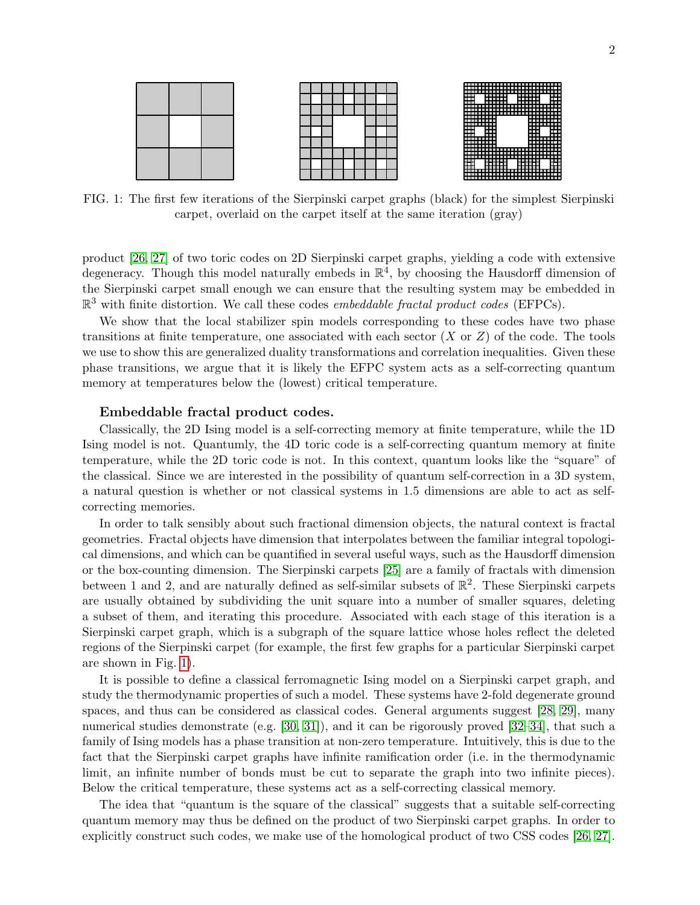



<span id="page-1-0"></span>

FIG. 1: The first few iterations of the Sierpinski carpet graphs (black) for the simplest Sierpinski carpet, overlaid on the carpet itself at the same iteration (gray)

product [\[26,](#page-3-10) [27\]](#page-3-11) of two toric codes on 2D Sierpinski carpet graphs, yielding a code with extensive degeneracy. Though this model naturally embeds in  $\mathbb{R}^4$ , by choosing the Hausdorff dimension of the Sierpinski carpet small enough we can ensure that the resulting system may be embedded in  $\mathbb{R}^3$  with finite distortion. We call these codes *embeddable fractal product codes* (EFPCs).

We show that the local stabilizer spin models corresponding to these codes have two phase transitions at finite temperature, one associated with each sector  $(X \text{ or } Z)$  of the code. The tools we use to show this are generalized duality transformations and correlation inequalities. Given these phase transitions, we argue that it is likely the EFPC system acts as a self-correcting quantum memory at temperatures below the (lowest) critical temperature.

## Embeddable fractal product codes.

Classically, the 2D Ising model is a self-correcting memory at finite temperature, while the 1D Ising model is not. Quantumly, the 4D toric code is a self-correcting quantum memory at finite temperature, while the 2D toric code is not. In this context, quantum looks like the "square" of the classical. Since we are interested in the possibility of quantum self-correction in a 3D system, a natural question is whether or not classical systems in 1.5 dimensions are able to act as selfcorrecting memories.

In order to talk sensibly about such fractional dimension objects, the natural context is fractal geometries. Fractal objects have dimension that interpolates between the familiar integral topological dimensions, and which can be quantified in several useful ways, such as the Hausdorff dimension or the box-counting dimension. The Sierpinski carpets [\[25\]](#page-3-9) are a family of fractals with dimension between 1 and 2, and are naturally defined as self-similar subsets of  $\mathbb{R}^2$ . These Sierpinski carpets are usually obtained by subdividing the unit square into a number of smaller squares, deleting a subset of them, and iterating this procedure. Associated with each stage of this iteration is a Sierpinski carpet graph, which is a subgraph of the square lattice whose holes reflect the deleted regions of the Sierpinski carpet (for example, the first few graphs for a particular Sierpinski carpet are shown in Fig. [1\)](#page-1-0).

It is possible to define a classical ferromagnetic Ising model on a Sierpinski carpet graph, and study the thermodynamic properties of such a model. These systems have 2-fold degenerate ground spaces, and thus can be considered as classical codes. General arguments suggest [\[28,](#page-3-12) [29\]](#page-3-13), many numerical studies demonstrate (e.g. [\[30,](#page-3-14) [31\]](#page-3-15)), and it can be rigorously proved [\[32–](#page-3-16)[34\]](#page-4-0), that such a family of Ising models has a phase transition at non-zero temperature. Intuitively, this is due to the fact that the Sierpinski carpet graphs have infinite ramification order (i.e. in the thermodynamic limit, an infinite number of bonds must be cut to separate the graph into two infinite pieces). Below the critical temperature, these systems act as a self-correcting classical memory.

The idea that "quantum is the square of the classical" suggests that a suitable self-correcting quantum memory may thus be defined on the product of two Sierpinski carpet graphs. In order to explicitly construct such codes, we make use of the homological product of two CSS codes [\[26,](#page-3-10) [27\]](#page-3-11).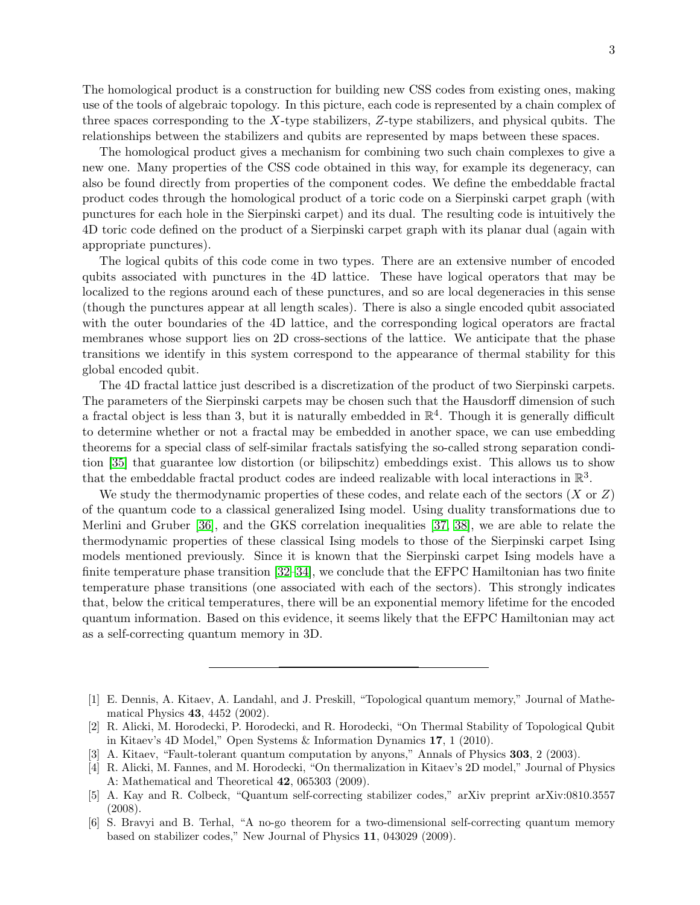3

The homological product is a construction for building new CSS codes from existing ones, making use of the tools of algebraic topology. In this picture, each code is represented by a chain complex of three spaces corresponding to the X-type stabilizers,  $Z$ -type stabilizers, and physical qubits. The relationships between the stabilizers and qubits are represented by maps between these spaces.

The homological product gives a mechanism for combining two such chain complexes to give a new one. Many properties of the CSS code obtained in this way, for example its degeneracy, can also be found directly from properties of the component codes. We define the embeddable fractal product codes through the homological product of a toric code on a Sierpinski carpet graph (with punctures for each hole in the Sierpinski carpet) and its dual. The resulting code is intuitively the 4D toric code defined on the product of a Sierpinski carpet graph with its planar dual (again with appropriate punctures).

The logical qubits of this code come in two types. There are an extensive number of encoded qubits associated with punctures in the 4D lattice. These have logical operators that may be localized to the regions around each of these punctures, and so are local degeneracies in this sense (though the punctures appear at all length scales). There is also a single encoded qubit associated with the outer boundaries of the 4D lattice, and the corresponding logical operators are fractal membranes whose support lies on 2D cross-sections of the lattice. We anticipate that the phase transitions we identify in this system correspond to the appearance of thermal stability for this global encoded qubit.

The 4D fractal lattice just described is a discretization of the product of two Sierpinski carpets. The parameters of the Sierpinski carpets may be chosen such that the Hausdorff dimension of such a fractal object is less than 3, but it is naturally embedded in  $\mathbb{R}^4$ . Though it is generally difficult to determine whether or not a fractal may be embedded in another space, we can use embedding theorems for a special class of self-similar fractals satisfying the so-called strong separation condition [\[35\]](#page-4-1) that guarantee low distortion (or bilipschitz) embeddings exist. This allows us to show that the embeddable fractal product codes are indeed realizable with local interactions in  $\mathbb{R}^3$ .

We study the thermodynamic properties of these codes, and relate each of the sectors  $(X \text{ or } Z)$ of the quantum code to a classical generalized Ising model. Using duality transformations due to Merlini and Gruber [\[36\]](#page-4-2), and the GKS correlation inequalities [\[37,](#page-4-3) [38\]](#page-4-4), we are able to relate the thermodynamic properties of these classical Ising models to those of the Sierpinski carpet Ising models mentioned previously. Since it is known that the Sierpinski carpet Ising models have a finite temperature phase transition [\[32–](#page-3-16)[34\]](#page-4-0), we conclude that the EFPC Hamiltonian has two finite temperature phase transitions (one associated with each of the sectors). This strongly indicates that, below the critical temperatures, there will be an exponential memory lifetime for the encoded quantum information. Based on this evidence, it seems likely that the EFPC Hamiltonian may act as a self-correcting quantum memory in 3D.

<span id="page-2-0"></span><sup>[1]</sup> E. Dennis, A. Kitaev, A. Landahl, and J. Preskill, "Topological quantum memory," Journal of Mathematical Physics 43, 4452 (2002).

<span id="page-2-1"></span><sup>[2]</sup> R. Alicki, M. Horodecki, P. Horodecki, and R. Horodecki, "On Thermal Stability of Topological Qubit in Kitaev's 4D Model," Open Systems & Information Dynamics 17, 1 (2010).

<span id="page-2-2"></span><sup>[3]</sup> A. Kitaev, "Fault-tolerant quantum computation by anyons," Annals of Physics 303, 2 (2003).

<span id="page-2-3"></span><sup>[4]</sup> R. Alicki, M. Fannes, and M. Horodecki, "On thermalization in Kitaev's 2D model," Journal of Physics A: Mathematical and Theoretical 42, 065303 (2009).

<span id="page-2-4"></span><sup>[5]</sup> A. Kay and R. Colbeck, "Quantum self-correcting stabilizer codes," arXiv preprint arXiv:0810.3557 (2008).

<sup>[6]</sup> S. Bravyi and B. Terhal, "A no-go theorem for a two-dimensional self-correcting quantum memory based on stabilizer codes," New Journal of Physics 11, 043029 (2009).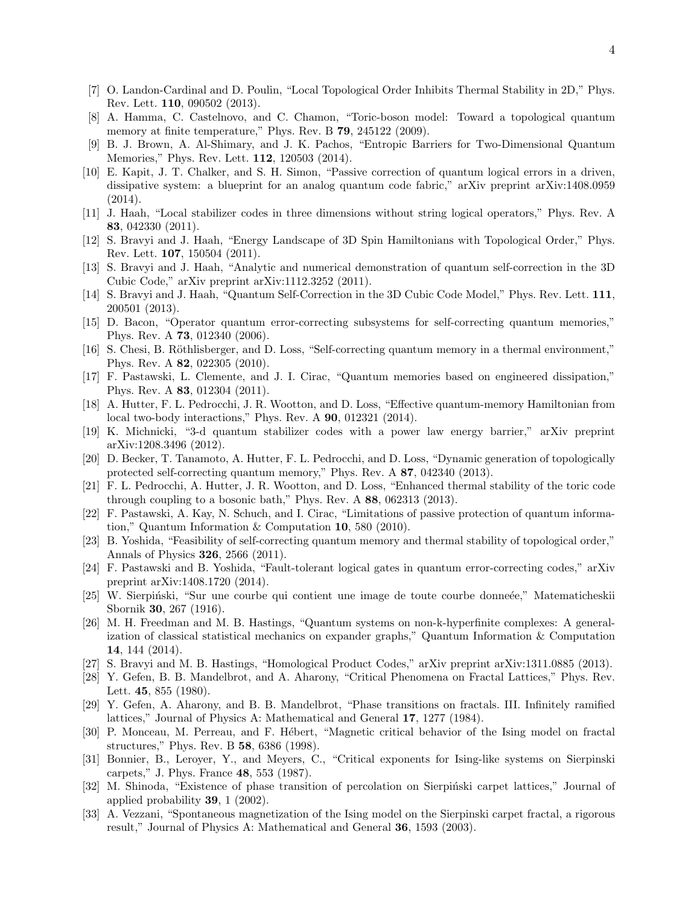- <span id="page-3-0"></span>[7] O. Landon-Cardinal and D. Poulin, "Local Topological Order Inhibits Thermal Stability in 2D," Phys. Rev. Lett. 110, 090502 (2013).
- <span id="page-3-1"></span>[8] A. Hamma, C. Castelnovo, and C. Chamon, "Toric-boson model: Toward a topological quantum memory at finite temperature," Phys. Rev. B 79, 245122 (2009).
- [9] B. J. Brown, A. Al-Shimary, and J. K. Pachos, "Entropic Barriers for Two-Dimensional Quantum Memories," Phys. Rev. Lett. 112, 120503 (2014).
- <span id="page-3-2"></span>[10] E. Kapit, J. T. Chalker, and S. H. Simon, "Passive correction of quantum logical errors in a driven, dissipative system: a blueprint for an analog quantum code fabric," arXiv preprint arXiv:1408.0959 (2014).
- <span id="page-3-3"></span>[11] J. Haah, "Local stabilizer codes in three dimensions without string logical operators," Phys. Rev. A 83, 042330 (2011).
- [12] S. Bravyi and J. Haah, "Energy Landscape of 3D Spin Hamiltonians with Topological Order," Phys. Rev. Lett. 107, 150504 (2011).
- [13] S. Bravyi and J. Haah, "Analytic and numerical demonstration of quantum self-correction in the 3D Cubic Code," arXiv preprint arXiv:1112.3252 (2011).
- <span id="page-3-4"></span>[14] S. Bravyi and J. Haah, "Quantum Self-Correction in the 3D Cubic Code Model," Phys. Rev. Lett. 111, 200501 (2013).
- <span id="page-3-5"></span>[15] D. Bacon, "Operator quantum error-correcting subsystems for self-correcting quantum memories," Phys. Rev. A 73, 012340 (2006).
- [16] S. Chesi, B. Röthlisberger, and D. Loss, "Self-correcting quantum memory in a thermal environment," Phys. Rev. A 82, 022305 (2010).
- [17] F. Pastawski, L. Clemente, and J. I. Cirac, "Quantum memories based on engineered dissipation," Phys. Rev. A 83, 012304 (2011).
- [18] A. Hutter, F. L. Pedrocchi, J. R. Wootton, and D. Loss, "Effective quantum-memory Hamiltonian from local two-body interactions," Phys. Rev. A **90**, 012321 (2014).
- [19] K. Michnicki, "3-d quantum stabilizer codes with a power law energy barrier," arXiv preprint arXiv:1208.3496 (2012).
- [20] D. Becker, T. Tanamoto, A. Hutter, F. L. Pedrocchi, and D. Loss, "Dynamic generation of topologically protected self-correcting quantum memory," Phys. Rev. A 87, 042340 (2013).
- <span id="page-3-6"></span>[21] F. L. Pedrocchi, A. Hutter, J. R. Wootton, and D. Loss, "Enhanced thermal stability of the toric code through coupling to a bosonic bath," Phys. Rev. A 88, 062313 (2013).
- <span id="page-3-7"></span>[22] F. Pastawski, A. Kay, N. Schuch, and I. Cirac, "Limitations of passive protection of quantum information," Quantum Information & Computation 10, 580 (2010).
- [23] B. Yoshida, "Feasibility of self-correcting quantum memory and thermal stability of topological order," Annals of Physics 326, 2566 (2011).
- <span id="page-3-8"></span>[24] F. Pastawski and B. Yoshida, "Fault-tolerant logical gates in quantum error-correcting codes," arXiv preprint arXiv:1408.1720 (2014).
- <span id="page-3-9"></span>[25] W. Sierpiński, "Sur une courbe qui contient une image de toute courbe donneée," Matematicheskii Sbornik 30, 267 (1916).
- <span id="page-3-10"></span>[26] M. H. Freedman and M. B. Hastings, "Quantum systems on non-k-hyperfinite complexes: A generalization of classical statistical mechanics on expander graphs," Quantum Information & Computation 14, 144 (2014).
- <span id="page-3-11"></span>[27] S. Bravyi and M. B. Hastings, "Homological Product Codes," arXiv preprint arXiv:1311.0885 (2013).
- <span id="page-3-12"></span>[28] Y. Gefen, B. B. Mandelbrot, and A. Aharony, "Critical Phenomena on Fractal Lattices," Phys. Rev. Lett. 45, 855 (1980).
- <span id="page-3-13"></span>[29] Y. Gefen, A. Aharony, and B. B. Mandelbrot, "Phase transitions on fractals. III. Infinitely ramified lattices," Journal of Physics A: Mathematical and General 17, 1277 (1984).
- <span id="page-3-14"></span>[30] P. Monceau, M. Perreau, and F. Hébert, "Magnetic critical behavior of the Ising model on fractal structures," Phys. Rev. B 58, 6386 (1998).
- <span id="page-3-15"></span>[31] Bonnier, B., Leroyer, Y., and Meyers, C., "Critical exponents for Ising-like systems on Sierpinski carpets," J. Phys. France 48, 553 (1987).
- <span id="page-3-16"></span>[32] M. Shinoda, "Existence of phase transition of percolation on Sierpinski carpet lattices," Journal of applied probability 39, 1 (2002).
- [33] A. Vezzani, "Spontaneous magnetization of the Ising model on the Sierpinski carpet fractal, a rigorous result," Journal of Physics A: Mathematical and General 36, 1593 (2003).